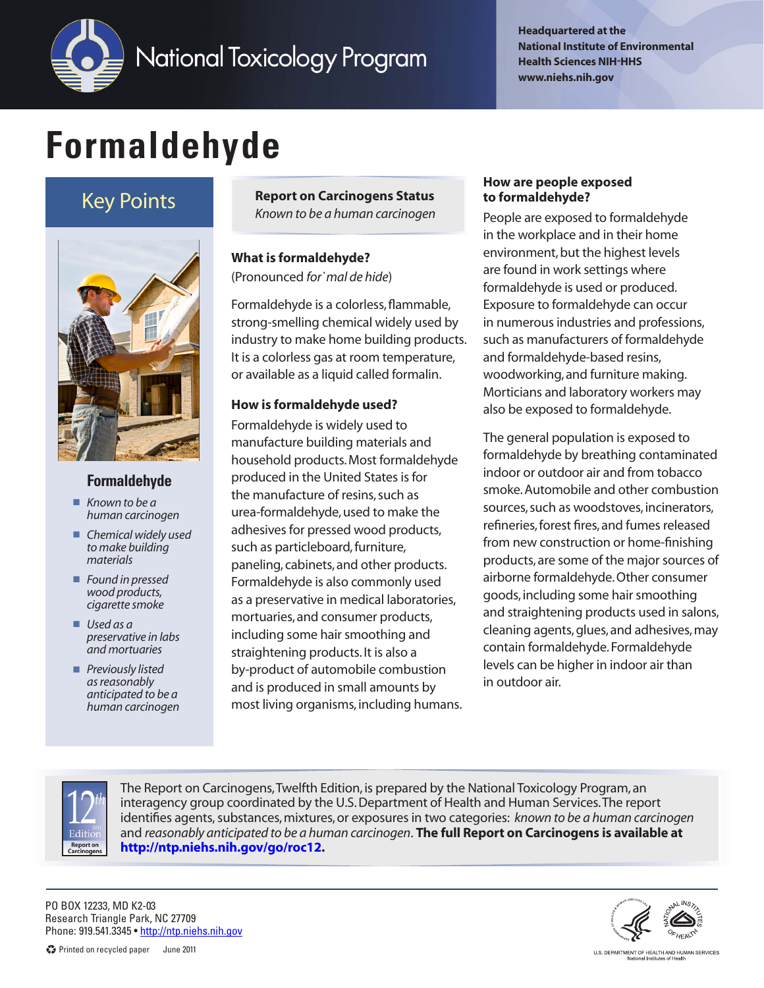

**Headquartered at the National Institute of Environmental Health Sciences NIH-HHS www.niehs.nih.gov**

# **Formaldehyde**

# Key Points



## **Formaldehyde**

- *Known to be a human carcinogen*
- **n** *Chemical widely used to make building materials*
- *Found in pressed wood products, cigarette smoke*
- *Used as a preservative in labs and mortuaries*
- *Previously listed as reasonably anticipated to be a human carcinogen*

**Report on Carcinogens Status** *Known to be a human carcinogen*

**What is formaldehyde?** (Pronounced *for `mal de hide*)

Formaldehyde is a colorless, flammable, strong-smelling chemical widely used by industry to make home building products. It is a colorless gas at room temperature, or available as a liquid called formalin.

### **How is formaldehyde used?**

Formaldehyde is widely used to manufacture building materials and household products. Most formaldehyde produced in the United States is for the manufacture of resins, such as urea-formaldehyde, used to make the adhesives for pressed wood products, such as particleboard, furniture, paneling, cabinets, and other products. Formaldehyde is also commonly used as a preservative in medical laboratories, mortuaries, and consumer products, including some hair smoothing and straightening products. It is also a by-product of automobile combustion and is produced in small amounts by most living organisms, including humans.

#### **How are people exposed to formaldehyde?**

People are exposed to formaldehyde in the workplace and in their home environment, but the highest levels are found in work settings where formaldehyde is used or produced. Exposure to formaldehyde can occur in numerous industries and professions, such as manufacturers of formaldehyde and formaldehyde-based resins, woodworking, and furniture making. Morticians and laboratory workers may also be exposed to formaldehyde.

The general population is exposed to formaldehyde by breathing contaminated indoor or outdoor air and from tobacco smoke. Automobile and other combustion sources, such as woodstoves, incinerators, refineries, forest fires, and fumes released from new construction or home-finishing products, are some of the major sources of airborne formaldehyde. Other consumer goods, including some hair smoothing and straightening products used in salons, cleaning agents, glues, and adhesives, may contain formaldehyde. Formaldehyde levels can be higher in indoor air than in outdoor air.



The Report on Carcinogens, Twelfth Edition, is prepared by the National Toxicology Program, an interagency group coordinated by the U.S. Department of Health and Human Services. The report identifies agents, substances, mixtures, or exposures in two categories: *known to be a human carcinogen* and *reasonably anticipated to be a human carcinogen*. **The full Report on Carcinogens is available at [http://ntp.niehs.nih.gov/go/r](http://ntp.niehs.nih.gov/go/roc12)oc12.**

PO BOX 12233, MD K2-03 Research Triangle Park, NC 27709 Phone: 919.541.3345 ·<http://ntp.niehs.nih.gov>